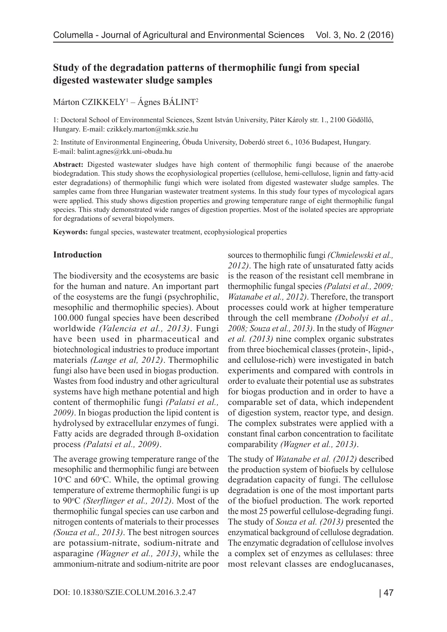# **Study of the degradation patterns of thermophilic fungi from special digested wastewater sludge samples**

Márton CZIKKELY1 – Ágnes BÁLINT2

1: Doctoral School of Environmental Sciences, Szent István University, Páter Károly str. 1., 2100 Gödöllő, Hungary. E-mail: czikkely.marton@mkk.szie.hu

2: Institute of Environmental Engineering, Óbuda University, Doberdó street 6., 1036 Budapest, Hungary. E-mail: balint.agnes@rkk.uni-obuda.hu

**Abstract:** Digested wastewater sludges have high content of thermophilic fungi because of the anaerobe biodegradation. This study shows the ecophysiological properties (cellulose, hemi-cellulose, lignin and fatty-acid ester degradations) of thermophilic fungi which were isolated from digested wastewater sludge samples. The samples came from three Hungarian wastewater treatment systems. In this study four types of mycological agars were applied. This study shows digestion properties and growing temperature range of eight thermophilic fungal species. This study demonstrated wide ranges of digestion properties. Most of the isolated species are appropriate for degradations of several biopolymers.

**Keywords:** fungal species, wastewater treatment, ecophysiological properties

#### **Introduction**

The biodiversity and the ecosystems are basic for the human and nature. An important part of the eosystems are the fungi (psychrophilic, mesophilic and thermophilic species). About 100.000 fungal species have been described worldwide *(Valencia et al., 2013)*. Fungi have been used in pharmaceutical and biotechnological industries to produce important materials *(Lange et al, 2012)*. Thermophilic fungi also have been used in biogas production. Wastes from food industry and other agricultural systems have high methane potential and high content of thermophilic fungi *(Palatsi et al., 2009)*. In biogas production the lipid content is hydrolysed by extracellular enzymes of fungi. Fatty acids are degraded through ß-oxidation process *(Palatsi et al., 2009)*.

The average growing temperature range of the mesophilic and thermophilic fungi are between 10°C and 60°C. While, the optimal growing temperature of extreme thermophilic fungi is up to 90°C (Sterflinger et al., 2012). Most of the thermophilic fungal species can use carbon and nitrogen contents of materials to their processes *(Souza et al., 2013)*. The best nitrogen sources are potassium-nitrate, sodium-nitrate and asparagine *(Wagner et al., 2013)*, while the ammonium-nitrate and sodium-nitrite are poor

sources to thermophilic fungi *(Chmielewski et al., 2012)*. The high rate of unsaturated fatty acids is the reason of the resistant cell membrane in thermophilic fungal species *(Palatsi et al., 2009; Watanabe et al., 2012)*. Therefore, the transport processes could work at higher temperature through the cell membrane *(Dobolyi et al., 2008; Souza et al., 2013)*. In the study of *Wagner et al. (2013)* nine complex organic substrates from three biochemical classes (protein-, lipid-, and cellulose-rich) were investigated in batch experiments and compared with controls in order to evaluate their potential use as substrates for biogas production and in order to have a comparable set of data, which independent of digestion system, reactor type, and design. The complex substrates were applied with a constant final carbon concentration to facilitate comparability *(Wagner et al., 2013)*.

The study of *Watanabe et al. (2012)* described the production system of biofuels by cellulose degradation capacity of fungi. The cellulose degradation is one of the most important parts of the biofuel production. The work reported the most 25 powerful cellulose-degrading fungi. The study of *Souza et al. (2013)* presented the enzymatical background of cellulose degradation. The enzymatic degradation of cellulose involves a complex set of enzymes as cellulases: three most relevant classes are endoglucanases,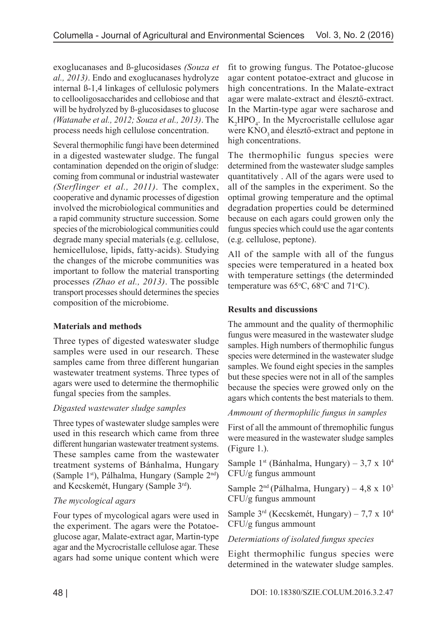exoglucanases and ß-glucosidases *(Souza et al., 2013)*. Endo and exoglucanases hydrolyze internal ß-1,4 linkages of cellulosic polymers to cellooligosaccharides and cellobiose and that will be hydrolyzed by ß-glucosidases to glucose *(Watanabe et al., 2012; Souza et al., 2013)*. The process needs high cellulose concentration.

Several thermophilic fungi have been determined in a digested wastewater sludge. The fungal contamination depended on the origin of sludge: coming from communal or industrial wastewater *(Sterflinger et al., 2011)*. The complex, cooperative and dynamic processes of digestion involved the microbiological communities and a rapid community structure succession. Some species of the microbiological communities could degrade many special materials (e.g. cellulose, hemicellulose, lipids, fatty-acids). Studying the changes of the microbe communities was important to follow the material transporting processes *(Zhao et al., 2013)*. The possible transport processes should determines the species composition of the microbiome.

#### **Materials and methods**

Three types of digested wateswater sludge samples were used in our research. These samples came from three different hungarian wastewater treatment systems. Three types of agars were used to determine the thermophilic fungal species from the samples.

## *Digasted wastewater sludge samples*

Three types of wastewater sludge samples were used in this research which came from three different hungarian wastewater treatment systems. These samples came from the wastewater treatment systems of Bánhalma, Hungary (Sample 1st), Pálhalma, Hungary (Sample 2nd) and Kecskemét, Hungary (Sample 3rd).

## *The mycological agars*

Four types of mycological agars were used in the experiment. The agars were the Potatoeglucose agar, Malate-extract agar, Martin-type agar and the Mycrocristalle cellulose agar. These agars had some unique content which were fit to growing fungus. The Potatoe-glucose agar content potatoe-extract and glucose in high concentrations. In the Malate-extract agar were malate-extract and élesztő-extract. In the Martin-type agar were sacharose and  $K_2$ HPO<sub>4</sub>. In the Mycrocristalle cellulose agar were KNO<sub>3</sub> and élesztő-extract and peptone in high concentrations.

The thermophilic fungus species were determined from the wastewater sludge samples quantitatively . All of the agars were used to all of the samples in the experiment. So the optimal growing temperature and the optimal degradation properties could be determined because on each agars could growen only the fungus species which could use the agar contents (e.g. cellulose, peptone).

All of the sample with all of the fungus species were temperatured in a heated box with temperature settings (the determinded temperature was  $65^{\circ}$ C,  $68^{\circ}$ C and  $71^{\circ}$ C).

# **Results and discussions**

The ammount and the quality of thermophilic fungus were measured in the wastewater sludge samples. High numbers of thermophilic fungus species were determined in the wastewater sludge samples. We found eight species in the samples but these species were not in all of the samples because the species were growed only on the agars which contents the best materials to them.

## *Ammount of thermophilic fungus in samples*

First of all the ammount of thremophilic fungus were measured in the wastewater sludge samples (Figure 1.).

Sample 1<sup>st</sup> (Bánhalma, Hungary) – 3,7 x  $10^4$ CFU/g fungus ammount

Sample  $2<sup>nd</sup>$  (Pálhalma, Hungary) – 4,8 x 10<sup>3</sup> CFU/g fungus ammount

Sample  $3^{rd}$  (Kecskemét, Hungary) – 7,7 x  $10^4$ CFU/g fungus ammount

## *Determiations of isolated fungus species*

Eight thermophilic fungus species were determined in the watewater sludge samples.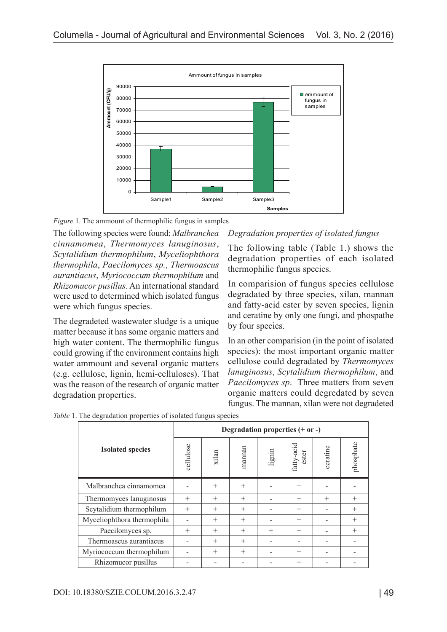

*Figure* 1. The ammount of thermophilic fungus in samples

The following species were found: *Malbranchea cinnamomea*, *Thermomyces lanuginosus*, *Scytalidium thermophilum*, *Myceliophthora thermophila*, *Paecilomyces sp.*, *Thermoascus aurantiacus*, *Myriococcum thermophilum* and *Rhizomucor pusillus*. An international standard were used to determined which isolated fungus were which fungus species.

The degradeted wastewater sludge is a unique matter because it has some organic matters and high water content. The thermophilic fungus could growing if the environment contains high water ammount and several organic matters (e.g. cellulose, lignin, hemi-celluloses). That was the reason of the research of organic matter degradation properties.

## *Degradation properties of isolated fungus*

The following table (Table 1.) shows the degradation properties of each isolated thermophilic fungus species.

In comparision of fungus species cellulose degradated by three species, xilan, mannan and fatty-acid ester by seven species, lignin and ceratine by only one fungi, and phospathe by four species.

In an other comparision (in the point of isolated species): the most important organic matter cellulose could degradated by *Thermomyces lanuginosus*, *Scytalidium thermophilum*, and *Paecilomyces sp*. Three matters from seven organic matters could degredated by seven fungus. The mannan, xilan were not degradeted

|                            | Degradation properties $(+ or -)$ |        |        |        |                     |          |           |
|----------------------------|-----------------------------------|--------|--------|--------|---------------------|----------|-----------|
| <b>Isolated species</b>    | cellulose                         | xilan  | mannan | lignin | fatty-acid<br>ester | ceratine | phosphate |
| Malbranchea cinnamomea     |                                   | $+$    | $^{+}$ |        | $^{+}$              |          |           |
| Thermomyces lanuginosus    | $^{+}$                            | $^{+}$ | $^{+}$ |        | $^{+}$              | $^{+}$   | $^{+}$    |
| Scytalidium thermophilum   | $^{+}$                            | $^{+}$ | $^{+}$ |        | $^{+}$              |          | $^{+}$    |
| Myceliophthora thermophila |                                   | $^{+}$ | $^{+}$ |        | $^{+}$              |          | $^{+}$    |
| Paecilomyces sp.           | $^{+}$                            | $^{+}$ | $^{+}$ | $^{+}$ | $^{+}$              |          | $^{+}$    |
| Thermoascus aurantiacus    |                                   | $^{+}$ | $^{+}$ |        |                     |          |           |
| Myriococcum thermophilum   |                                   | $^{+}$ | $^{+}$ |        | $^{+}$              |          |           |
| Rhizomucor pusillus        |                                   |        |        |        | $^{+}$              |          |           |

*Table* 1. The degradation properties of isolated fungus species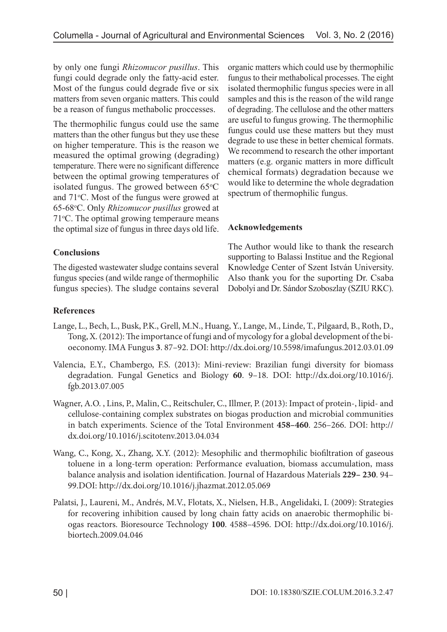by only one fungi *Rhizomucor pusillus*. This fungi could degrade only the fatty-acid ester. Most of the fungus could degrade five or six matters from seven organic matters. This could be a reason of fungus methabolic proccesses.

The thermophilic fungus could use the same matters than the other fungus but they use these on higher temperature. This is the reason we measured the optimal growing (degrading) temperature. There were no significant difference between the optimal growing temperatures of isolated fungus. The growed between 65°C and 71°C. Most of the fungus were growed at 65-68°C. Only *Rhizomucor pusillus* growed at 71 °C. The optimal growing temperaure means the optimal size of fungus in three days old life.

#### **Conclusions**

The digested wastewater sludge contains several fungus species (and wilde range of thermophilic fungus species). The sludge contains several organic matters which could use by thermophilic fungus to their methabolical processes. The eight isolated thermophilic fungus species were in all samples and this is the reason of the wild range of degrading. The cellulose and the other matters are useful to fungus growing. The thermophilic fungus could use these matters but they must degrade to use these in better chemical formats. We recommend to research the other important matters (e.g. organic matters in more difficult chemical formats) degradation because we would like to determine the whole degradation spectrum of thermophilic fungus.

#### **Acknowledgements**

The Author would like to thank the research supporting to Balassi Institue and the Regional Knowledge Center of Szent István University. Also thank you for the suporting Dr. Csaba Dobolyi and Dr. Sándor Szoboszlay (SZIU RKC).

#### **References**

- Lange, L., Bech, L., Busk, P.K., Grell, M.N., Huang, Y., Lange, M., Linde, T., Pilgaard, B., Roth, D., Tong, X. (2012): The importance of fungi and of mycology for a global development of the bioeconomy. IMA Fungus **3**. 87–92. DOI: http://dx.doi.org/10.5598/imafungus.2012.03.01.09
- Valencia, E.Y., Chambergo, F.S. (2013): Mini-review: Brazilian fungi diversity for biomass degradation. Fungal Genetics and Biology **60**. 9–18. DOI: http://dx.doi.org/10.1016/j. fgb.2013.07.005
- Wagner, A.O. , Lins, P., Malin, C., Reitschuler, C., Illmer, P. (2013): Impact of protein-, lipid- and cellulose-containing complex substrates on biogas production and microbial communities in batch experiments. Science of the Total Environment **458–460**. 256–266. DOI: http:// dx.doi.org/10.1016/j.scitotenv.2013.04.034
- Wang, C., Kong, X., Zhang, X.Y. (2012): Mesophilic and thermophilic biofiltration of gaseous toluene in a long-term operation: Performance evaluation, biomass accumulation, mass balance analysis and isolation identification. Journal of Hazardous Materials **229– 230**. 94– 99.DOI: http://dx.doi.org/10.1016/j.jhazmat.2012.05.069
- Palatsi, J., Laureni, M., Andrés, M.V., Flotats, X., Nielsen, H.B., Angelidaki, I. (2009): Strategies for recovering inhibition caused by long chain fatty acids on anaerobic thermophilic biogas reactors. Bioresource Technology **100**. 4588–4596. DOI: http://dx.doi.org/10.1016/j. biortech.2009.04.046